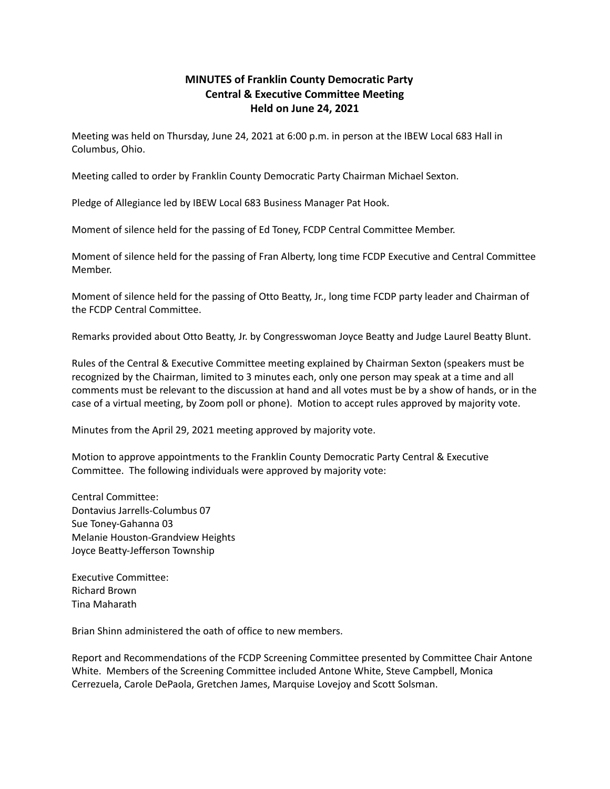## **MINUTES of Franklin County Democratic Party Central & Executive Committee Meeting Held on June 24, 2021**

Meeting was held on Thursday, June 24, 2021 at 6:00 p.m. in person at the IBEW Local 683 Hall in Columbus, Ohio.

Meeting called to order by Franklin County Democratic Party Chairman Michael Sexton.

Pledge of Allegiance led by IBEW Local 683 Business Manager Pat Hook.

Moment of silence held for the passing of Ed Toney, FCDP Central Committee Member.

Moment of silence held for the passing of Fran Alberty, long time FCDP Executive and Central Committee Member.

Moment of silence held for the passing of Otto Beatty, Jr., long time FCDP party leader and Chairman of the FCDP Central Committee.

Remarks provided about Otto Beatty, Jr. by Congresswoman Joyce Beatty and Judge Laurel Beatty Blunt.

Rules of the Central & Executive Committee meeting explained by Chairman Sexton (speakers must be recognized by the Chairman, limited to 3 minutes each, only one person may speak at a time and all comments must be relevant to the discussion at hand and all votes must be by a show of hands, or in the case of a virtual meeting, by Zoom poll or phone). Motion to accept rules approved by majority vote.

Minutes from the April 29, 2021 meeting approved by majority vote.

Motion to approve appointments to the Franklin County Democratic Party Central & Executive Committee. The following individuals were approved by majority vote:

Central Committee: Dontavius Jarrells-Columbus 07 Sue Toney-Gahanna 03 Melanie Houston-Grandview Heights Joyce Beatty-Jefferson Township

Executive Committee: Richard Brown Tina Maharath

Brian Shinn administered the oath of office to new members.

Report and Recommendations of the FCDP Screening Committee presented by Committee Chair Antone White. Members of the Screening Committee included Antone White, Steve Campbell, Monica Cerrezuela, Carole DePaola, Gretchen James, Marquise Lovejoy and Scott Solsman.